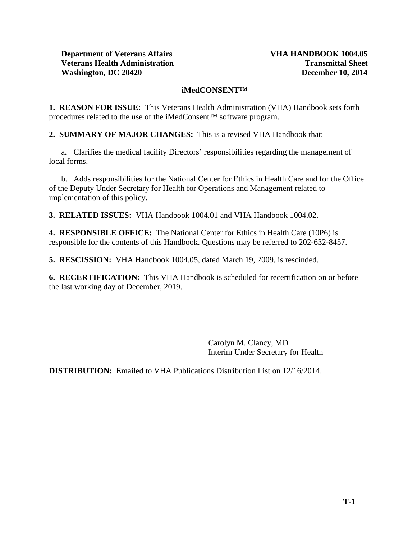# **iMedCONSENT™**

**1. REASON FOR ISSUE:** This Veterans Health Administration (VHA) Handbook sets forth procedures related to the use of the iMedConsent™ software program.

**2. SUMMARY OF MAJOR CHANGES:** This is a revised VHA Handbook that:

a. Clarifies the medical facility Directors' responsibilities regarding the management of local forms.

b. Adds responsibilities for the National Center for Ethics in Health Care and for the Office of the Deputy Under Secretary for Health for Operations and Management related to implementation of this policy.

**3. RELATED ISSUES:** VHA Handbook 1004.01 and VHA Handbook 1004.02.

**4. RESPONSIBLE OFFICE:** The National Center for Ethics in Health Care (10P6) is responsible for the contents of this Handbook. Questions may be referred to 202-632-8457.

**5. RESCISSION:** VHA Handbook 1004.05, dated March 19, 2009, is rescinded.

**6. RECERTIFICATION:** This VHA Handbook is scheduled for recertification on or before the last working day of December, 2019.

> Carolyn M. Clancy, MD Interim Under Secretary for Health

**DISTRIBUTION:** Emailed to VHA Publications Distribution List on 12/16/2014.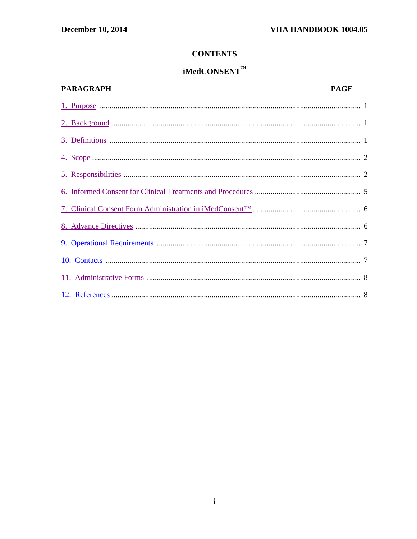# **CONTENTS**

# $i$ MedCONSENT<sup>TM</sup>

# **PARAGRAPH PAGE**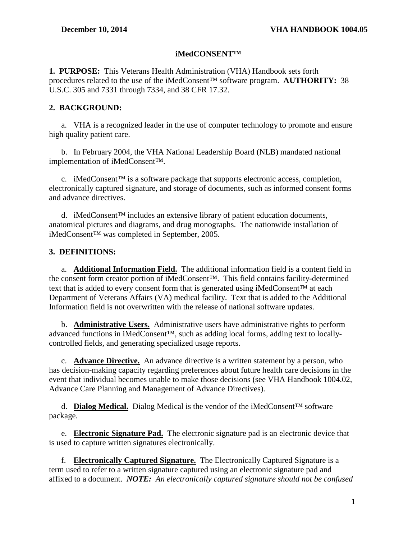# **iMedCONSENT™**

<span id="page-2-0"></span>**1. PURPOSE:** This Veterans Health Administration (VHA) Handbook sets forth procedures related to the use of the iMedConsent™ software program. **AUTHORITY:** 38 U.S.C. 305 and 7331 through 7334, and 38 CFR 17.32.

# <span id="page-2-1"></span>**2. BACKGROUND:**

a. VHA is a recognized leader in the use of computer technology to promote and ensure high quality patient care.

b. In February 2004, the VHA National Leadership Board (NLB) mandated national implementation of iMedConsent™.

c. iMedConsent<sup>™</sup> is a software package that supports electronic access, completion, electronically captured signature, and storage of documents, such as informed consent forms and advance directives.

d. iMedConsent<sup>™</sup> includes an extensive library of patient education documents, anatomical pictures and diagrams, and drug monographs. The nationwide installation of iMedConsent™ was completed in September, 2005.

# <span id="page-2-2"></span>**3. DEFINITIONS:**

a. **Additional Information Field.** The additional information field is a content field in the consent form creator portion of iMedConsent™. This field contains facility-determined text that is added to every consent form that is generated using iMedConsent™ at each Department of Veterans Affairs (VA) medical facility. Text that is added to the Additional Information field is not overwritten with the release of national software updates.

b. **Administrative Users.** Administrative users have administrative rights to perform advanced functions in iMedConsent™, such as adding local forms, adding text to locallycontrolled fields, and generating specialized usage reports.

c. **Advance Directive.** An advance directive is a written statement by a person, who has decision-making capacity regarding preferences about future health care decisions in the event that individual becomes unable to make those decisions (see VHA Handbook 1004.02, Advance Care Planning and Management of Advance Directives).

d. **Dialog Medical.** Dialog Medical is the vendor of the iMedConsent™ software package.

e. **Electronic Signature Pad.** The electronic signature pad is an electronic device that is used to capture written signatures electronically.

f. **Electronically Captured Signature.** The Electronically Captured Signature is a term used to refer to a written signature captured using an electronic signature pad and affixed to a document. *NOTE: An electronically captured signature should not be confused*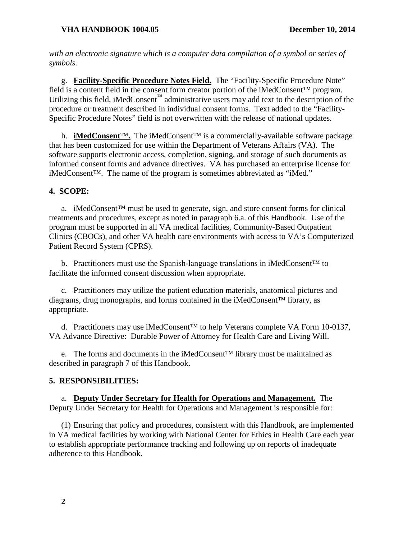*with an electronic signature which is a computer data compilation of a symbol or series of symbols.*

g. **Facility-Specific Procedure Notes Field.** The "Facility-Specific Procedure Note" field is a content field in the consent form creator portion of the iMedConsent™ program. Utilizing this field, iMedConsent<sup>™</sup> administrative users may add text to the description of the procedure or treatment described in individual consent forms. Text added to the "Facility-Specific Procedure Notes" field is not overwritten with the release of national updates.

h. **iMedConsent**™**.** The iMedConsent™ is a commercially-available software package that has been customized for use within the Department of Veterans Affairs (VA). The software supports electronic access, completion, signing, and storage of such documents as informed consent forms and advance directives. VA has purchased an enterprise license for iMedConsent™. The name of the program is sometimes abbreviated as "iMed."

# <span id="page-3-0"></span>**4. SCOPE:**

a. iMedConsent™ must be used to generate, sign, and store consent forms for clinical treatments and procedures, except as noted in paragraph 6.a. of this Handbook. Use of the program must be supported in all VA medical facilities, Community-Based Outpatient Clinics (CBOCs), and other VA health care environments with access to VA's Computerized Patient Record System (CPRS).

b. Practitioners must use the Spanish-language translations in iMedConsent<sup>TM</sup> to facilitate the informed consent discussion when appropriate.

c. Practitioners may utilize the patient education materials, anatomical pictures and diagrams, drug monographs, and forms contained in the iMedConsent™ library, as appropriate.

d. Practitioners may use iMedConsent™ to help Veterans complete VA Form 10-0137, VA Advance Directive: Durable Power of Attorney for Health Care and Living Will.

e. The forms and documents in the iMedConsent™ library must be maintained as described in paragraph 7 of this Handbook.

# <span id="page-3-1"></span>**5. RESPONSIBILITIES:**

a. **Deputy Under Secretary for Health for Operations and Management.** The Deputy Under Secretary for Health for Operations and Management is responsible for:

(1) Ensuring that policy and procedures, consistent with this Handbook, are implemented in VA medical facilities by working with National Center for Ethics in Health Care each year to establish appropriate performance tracking and following up on reports of inadequate adherence to this Handbook.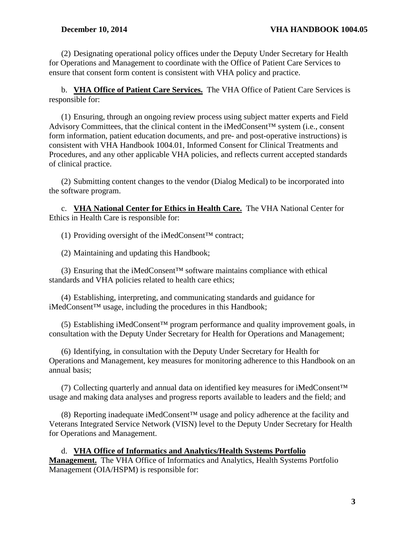(2) Designating operational policy offices under the Deputy Under Secretary for Health for Operations and Management to coordinate with the Office of Patient Care Services to ensure that consent form content is consistent with VHA policy and practice.

b. **VHA Office of Patient Care Services.** The VHA Office of Patient Care Services is responsible for:

(1) Ensuring, through an ongoing review process using subject matter experts and Field Advisory Committees, that the clinical content in the iMedConsent™ system (i.e., consent form information, patient education documents, and pre- and post-operative instructions) is consistent with VHA Handbook 1004.01, Informed Consent for Clinical Treatments and Procedures, and any other applicable VHA policies, and reflects current accepted standards of clinical practice.

(2) Submitting content changes to the vendor (Dialog Medical) to be incorporated into the software program.

c. **VHA National Center for Ethics in Health Care.** The VHA National Center for Ethics in Health Care is responsible for:

(1) Providing oversight of the iMedConsent™ contract;

(2) Maintaining and updating this Handbook;

(3) Ensuring that the iMedConsent<sup>TM</sup> software maintains compliance with ethical standards and VHA policies related to health care ethics;

(4) Establishing, interpreting, and communicating standards and guidance for iMedConsent™ usage, including the procedures in this Handbook;

(5) Establishing iMedConsent™ program performance and quality improvement goals, in consultation with the Deputy Under Secretary for Health for Operations and Management;

(6) Identifying, in consultation with the Deputy Under Secretary for Health for Operations and Management, key measures for monitoring adherence to this Handbook on an annual basis;

(7) Collecting quarterly and annual data on identified key measures for iMedConsent™ usage and making data analyses and progress reports available to leaders and the field; and

(8) Reporting inadequate iMedConsent™ usage and policy adherence at the facility and Veterans Integrated Service Network (VISN) level to the Deputy Under Secretary for Health for Operations and Management.

d. **VHA Office of Informatics and Analytics/Health Systems Portfolio Management.** The VHA Office of Informatics and Analytics, Health Systems Portfolio Management (OIA/HSPM) is responsible for: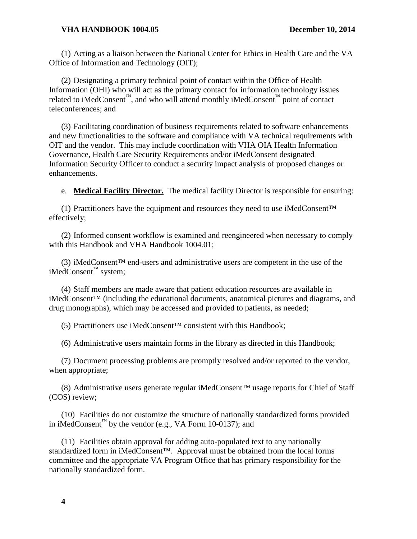#### **VHA HANDBOOK 1004.05 December 10, 2014**

(1) Acting as a liaison between the National Center for Ethics in Health Care and the VA Office of Information and Technology (OIT);

(2) Designating a primary technical point of contact within the Office of Health Information (OHI) who will act as the primary contact for information technology issues related to iMedConsent™, and who will attend monthly iMedConsent™ point of contact teleconferences; and

(3) Facilitating coordination of business requirements related to software enhancements and new functionalities to the software and compliance with VA technical requirements with OIT and the vendor. This may include coordination with VHA OIA Health Information Governance, Health Care Security Requirements and/or iMedConsent designated Information Security Officer to conduct a security impact analysis of proposed changes or enhancements.

e. **Medical Facility Director.** The medical facility Director is responsible for ensuring:

(1) Practitioners have the equipment and resources they need to use iMedConsent™ effectively;

(2) Informed consent workflow is examined and reengineered when necessary to comply with this Handbook and VHA Handbook 1004.01;

(3) iMedConsent™ end-users and administrative users are competent in the use of the iMedConsent™ system;

(4) Staff members are made aware that patient education resources are available in iMedConsent™ (including the educational documents, anatomical pictures and diagrams, and drug monographs), which may be accessed and provided to patients, as needed;

(5) Practitioners use iMedConsent™ consistent with this Handbook;

(6) Administrative users maintain forms in the library as directed in this Handbook;

(7) Document processing problems are promptly resolved and/or reported to the vendor, when appropriate;

(8) Administrative users generate regular iMedConsent™ usage reports for Chief of Staff (COS) review;

(10) Facilities do not customize the structure of nationally standardized forms provided in iMedConsent<sup>™</sup> by the vendor (e.g., VA Form 10-0137); and

(11) Facilities obtain approval for adding auto-populated text to any nationally standardized form in iMedConsent™. Approval must be obtained from the local forms committee and the appropriate VA Program Office that has primary responsibility for the nationally standardized form.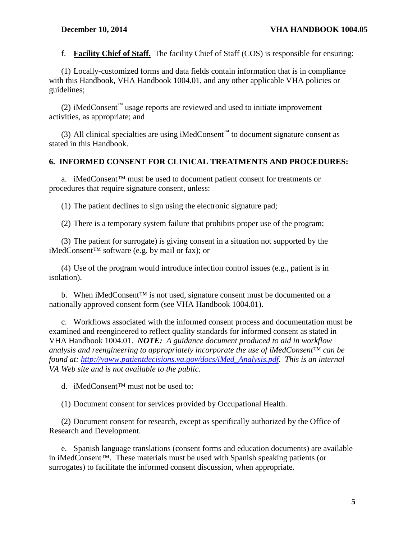f. **Facility Chief of Staff.** The facility Chief of Staff (COS) is responsible for ensuring:

(1) Locally-customized forms and data fields contain information that is in compliance with this Handbook, VHA Handbook 1004.01, and any other applicable VHA policies or guidelines;

(2) iMedConsent<sup>™</sup> usage reports are reviewed and used to initiate improvement activities, as appropriate; and

(3) All clinical specialties are using iMedConsent<sup>™</sup> to document signature consent as stated in this Handbook.

#### <span id="page-6-0"></span>**6. INFORMED CONSENT FOR CLINICAL TREATMENTS AND PROCEDURES:**

a. iMedConsent<sup>™</sup> must be used to document patient consent for treatments or procedures that require signature consent, unless:

(1) The patient declines to sign using the electronic signature pad;

(2) There is a temporary system failure that prohibits proper use of the program;

(3) The patient (or surrogate) is giving consent in a situation not supported by the iMedConsent™ software (e.g. by mail or fax); or

(4) Use of the program would introduce infection control issues (e.g., patient is in isolation).

b. When iMedConsent<sup>™</sup> is not used, signature consent must be documented on a nationally approved consent form (see VHA Handbook 1004.01).

c. Workflows associated with the informed consent process and documentation must be examined and reengineered to reflect quality standards for informed consent as stated in VHA Handbook 1004.01. *NOTE: A guidance document produced to aid in workflow analysis and reengineering to appropriately incorporate the use of iMedConsent™ can be found at: [http://vaww.patientdecisions.va.gov/docs/iMed\\_Analysis.pdf.](http://vaww.patientdecisions.va.gov/docs/iMed_Analysis.pdf) This is an internal VA Web site and is not available to the public.*

d. iMedConsent™ must not be used to:

(1) Document consent for services provided by Occupational Health.

(2) Document consent for research, except as specifically authorized by the Office of Research and Development.

e. Spanish language translations (consent forms and education documents) are available in iMedConsent™. These materials must be used with Spanish speaking patients (or surrogates) to facilitate the informed consent discussion, when appropriate*.*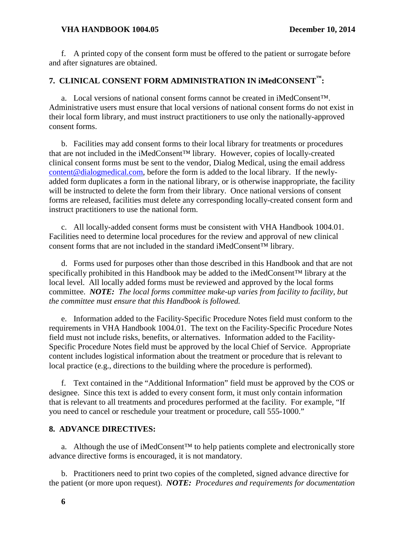#### **VHA HANDBOOK 1004.05 December 10, 2014**

f. A printed copy of the consent form must be offered to the patient or surrogate before and after signatures are obtained.

# <span id="page-7-0"></span>**7. CLINICAL CONSENT FORM ADMINISTRATION IN iMedCONSENT™:**

a. Local versions of national consent forms cannot be created in iMedConsent™. Administrative users must ensure that local versions of national consent forms do not exist in their local form library, and must instruct practitioners to use only the nationally-approved consent forms.

b. Facilities may add consent forms to their local library for treatments or procedures that are not included in the iMedConsent™ library. However, copies of locally-created clinical consent forms must be sent to the vendor, Dialog Medical, using the email address [content@dialogmedical.com,](mailto:content@dialogmedical.com) before the form is added to the local library. If the newlyadded form duplicates a form in the national library, or is otherwise inappropriate, the facility will be instructed to delete the form from their library. Once national versions of consent forms are released, facilities must delete any corresponding locally-created consent form and instruct practitioners to use the national form.

c. All locally-added consent forms must be consistent with VHA Handbook 1004.01. Facilities need to determine local procedures for the review and approval of new clinical consent forms that are not included in the standard iMedConsent™ library.

d. Forms used for purposes other than those described in this Handbook and that are not specifically prohibited in this Handbook may be added to the iMedConsent™ library at the local level. All locally added forms must be reviewed and approved by the local forms committee. *NOTE: The local forms committee make-up varies from facility to facility, but the committee must ensure that this Handbook is followed.*

e. Information added to the Facility-Specific Procedure Notes field must conform to the requirements in VHA Handbook 1004.01. The text on the Facility-Specific Procedure Notes field must not include risks, benefits, or alternatives. Information added to the Facility-Specific Procedure Notes field must be approved by the local Chief of Service. Appropriate content includes logistical information about the treatment or procedure that is relevant to local practice (e.g., directions to the building where the procedure is performed).

f. Text contained in the "Additional Information" field must be approved by the COS or designee. Since this text is added to every consent form, it must only contain information that is relevant to all treatments and procedures performed at the facility. For example, "If you need to cancel or reschedule your treatment or procedure, call 555-1000."

### <span id="page-7-1"></span>**8. ADVANCE DIRECTIVES:**

a. Although the use of iMedConsent™ to help patients complete and electronically store advance directive forms is encouraged, it is not mandatory.

b. Practitioners need to print two copies of the completed, signed advance directive for the patient (or more upon request). *NOTE: Procedures and requirements for documentation*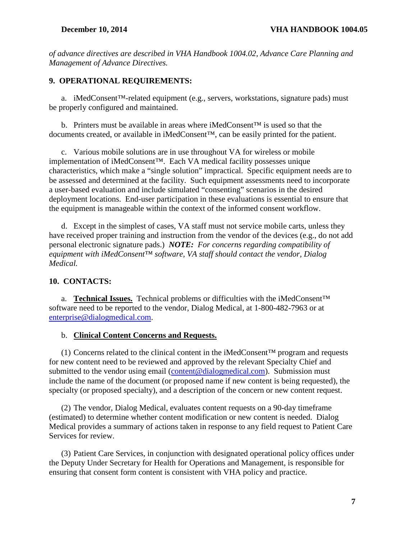*of advance directives are described in VHA Handbook 1004.02, Advance Care Planning and Management of Advance Directives.*

#### <span id="page-8-0"></span>**9. OPERATIONAL REQUIREMENTS:**

a. iMedConsent™-related equipment (e.g., servers, workstations, signature pads) must be properly configured and maintained.

b. Printers must be available in areas where iMedConsent<sup>TM</sup> is used so that the documents created, or available in iMedConsent™, can be easily printed for the patient.

c. Various mobile solutions are in use throughout VA for wireless or mobile implementation of iMedConsent™. Each VA medical facility possesses unique characteristics, which make a "single solution" impractical. Specific equipment needs are to be assessed and determined at the facility. Such equipment assessments need to incorporate a user-based evaluation and include simulated "consenting" scenarios in the desired deployment locations. End-user participation in these evaluations is essential to ensure that the equipment is manageable within the context of the informed consent workflow.

d. Except in the simplest of cases, VA staff must not service mobile carts, unless they have received proper training and instruction from the vendor of the devices (e.g., do not add personal electronic signature pads.) *NOTE: For concerns regarding compatibility of equipment with iMedConsent™ software, VA staff should contact the vendor, Dialog Medical.*

### <span id="page-8-1"></span>**10. CONTACTS:**

a. **Technical Issues.** Technical problems or difficulties with the iMedConsent™ software need to be reported to the vendor, Dialog Medical, at 1-800-482-7963 or at [enterprise@dialogmedical.com.](mailto:enterprise@dialogmedical.com)

#### b. **Clinical Content Concerns and Requests.**

(1) Concerns related to the clinical content in the iMedConsent™ program and requests for new content need to be reviewed and approved by the relevant Specialty Chief and submitted to the vendor using email [\(content@dialogmedical.com\)](mailto:content@dialogmedical.com). Submission must include the name of the document (or proposed name if new content is being requested), the specialty (or proposed specialty), and a description of the concern or new content request.

(2) The vendor, Dialog Medical, evaluates content requests on a 90-day timeframe (estimated) to determine whether content modification or new content is needed. Dialog Medical provides a summary of actions taken in response to any field request to Patient Care Services for review.

(3) Patient Care Services, in conjunction with designated operational policy offices under the Deputy Under Secretary for Health for Operations and Management, is responsible for ensuring that consent form content is consistent with VHA policy and practice.